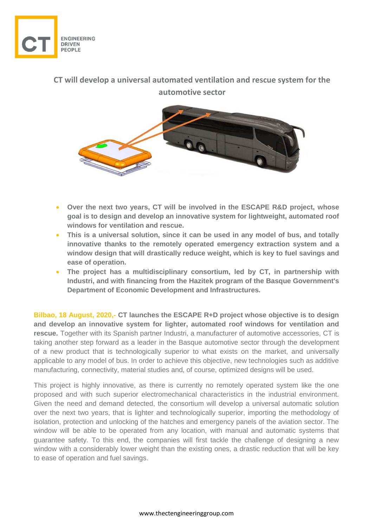

## **CT will develop a universal automated ventilation and rescue system for the automotive sector**



- **Over the next two years, CT will be involved in the ESCAPE R&D project, whose goal is to design and develop an innovative system for lightweight, automated roof windows for ventilation and rescue.**
- **This is a universal solution, since it can be used in any model of bus, and totally innovative thanks to the remotely operated emergency extraction system and a window design that will drastically reduce weight, which is key to fuel savings and ease of operation.**
- **The project has a multidisciplinary consortium, led by CT, in partnership with Industri, and with financing from the Hazitek program of the Basque Government's Department of Economic Development and Infrastructures.**

**Bilbao, 18 August, 2020,- CT launches the ESCAPE R+D project whose objective is to design and develop an innovative system for lighter, automated roof windows for ventilation and rescue.** Together with its Spanish partner Industri, a manufacturer of automotive accessories, CT is taking another step forward as a leader in the Basque automotive sector through the development of a new product that is technologically superior to what exists on the market, and universally applicable to any model of bus. In order to achieve this objective, new technologies such as additive manufacturing, connectivity, material studies and, of course, optimized designs will be used.

This project is highly innovative, as there is currently no remotely operated system like the one proposed and with such superior electromechanical characteristics in the industrial environment. Given the need and demand detected, the consortium will develop a universal automatic solution over the next two years, that is lighter and technologically superior, importing the methodology of isolation, protection and unlocking of the hatches and emergency panels of the aviation sector. The window will be able to be operated from any location, with manual and automatic systems that guarantee safety. To this end, the companies will first tackle the challenge of designing a new window with a considerably lower weight than the existing ones, a drastic reduction that will be key to ease of operation and fuel savings.